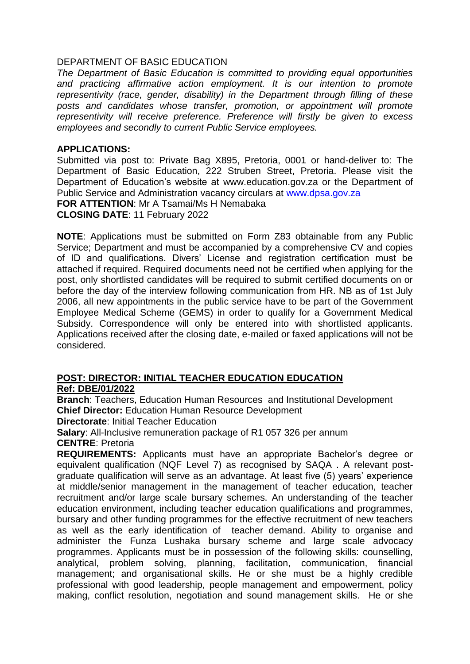## DEPARTMENT OF BASIC EDUCATION

*The Department of Basic Education is committed to providing equal opportunities and practicing affirmative action employment. It is our intention to promote representivity (race, gender, disability) in the Department through filling of these posts and candidates whose transfer, promotion, or appointment will promote representivity will receive preference. Preference will firstly be given to excess employees and secondly to current Public Service employees.* 

## **APPLICATIONS:**

Submitted via post to: Private Bag X895, Pretoria, 0001 or hand-deliver to: The Department of Basic Education, 222 Struben Street, Pretoria. Please visit the Department of Education's website at www.education.gov.za or the Department of Public Service and Administration vacancy circulars at [www.dpsa.gov.za](http://www.dpsa.gov.za/) **FOR ATTENTION**: Mr A Tsamai/Ms H Nemabaka **CLOSING DATE**: 11 February 2022

**NOTE**: Applications must be submitted on Form Z83 obtainable from any Public Service; Department and must be accompanied by a comprehensive CV and copies of ID and qualifications. Divers' License and registration certification must be attached if required. Required documents need not be certified when applying for the post, only shortlisted candidates will be required to submit certified documents on or before the day of the interview following communication from HR. NB as of 1st July 2006, all new appointments in the public service have to be part of the Government Employee Medical Scheme (GEMS) in order to qualify for a Government Medical Subsidy. Correspondence will only be entered into with shortlisted applicants. Applications received after the closing date, e-mailed or faxed applications will not be considered.

### **POST: DIRECTOR: INITIAL TEACHER EDUCATION EDUCATION Ref: DBE/01/2022**

**Branch**: Teachers, Education Human Resources and Institutional Development **Chief Director:** Education Human Resource Development

**Directorate**: Initial Teacher Education

**Salary: All-Inclusive remuneration package of R1 057 326 per annum CENTRE**: Pretoria

**REQUIREMENTS:** Applicants must have an appropriate Bachelor's degree or equivalent qualification (NQF Level 7) as recognised by SAQA . A relevant postgraduate qualification will serve as an advantage. At least five (5) years' experience at middle/senior management in the management of teacher education, teacher recruitment and/or large scale bursary schemes. An understanding of the teacher education environment, including teacher education qualifications and programmes, bursary and other funding programmes for the effective recruitment of new teachers as well as the early identification of teacher demand. Ability to organise and administer the Funza Lushaka bursary scheme and large scale advocacy programmes. Applicants must be in possession of the following skills: counselling, analytical, problem solving, planning, facilitation, communication, financial management; and organisational skills. He or she must be a highly credible professional with good leadership, people management and empowerment, policy making, conflict resolution, negotiation and sound management skills. He or she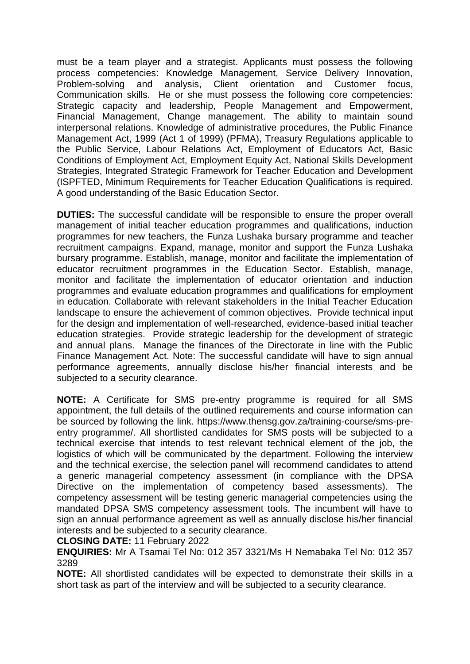must be a team player and a strategist. Applicants must possess the following process competencies: Knowledge Management, Service Delivery Innovation, Problem-solving and analysis, Client orientation and Customer focus, Communication skills. He or she must possess the following core competencies: Strategic capacity and leadership, People Management and Empowerment, Financial Management, Change management. The ability to maintain sound interpersonal relations. Knowledge of administrative procedures, the Public Finance Management Act, 1999 (Act 1 of 1999) (PFMA), Treasury Regulations applicable to the Public Service, Labour Relations Act, Employment of Educators Act, Basic Conditions of Employment Act, Employment Equity Act, National Skills Development Strategies, Integrated Strategic Framework for Teacher Education and Development (ISPFTED, Minimum Requirements for Teacher Education Qualifications is required. A good understanding of the Basic Education Sector.

**DUTIES:** The successful candidate will be responsible to ensure the proper overall management of initial teacher education programmes and qualifications, induction programmes for new teachers, the Funza Lushaka bursary programme and teacher recruitment campaigns. Expand, manage, monitor and support the Funza Lushaka bursary programme. Establish, manage, monitor and facilitate the implementation of educator recruitment programmes in the Education Sector. Establish, manage, monitor and facilitate the implementation of educator orientation and induction programmes and evaluate education programmes and qualifications for employment in education. Collaborate with relevant stakeholders in the Initial Teacher Education landscape to ensure the achievement of common objectives. Provide technical input for the design and implementation of well-researched, evidence-based initial teacher education strategies. Provide strategic leadership for the development of strategic and annual plans. Manage the finances of the Directorate in line with the Public Finance Management Act. Note: The successful candidate will have to sign annual performance agreements, annually disclose his/her financial interests and be subjected to a security clearance.

**NOTE:** A Certificate for SMS pre-entry programme is required for all SMS appointment, the full details of the outlined requirements and course information can be sourced by following the link. https://www.thensg.gov.za/training-course/sms-preentry programme/. All shortlisted candidates for SMS posts will be subjected to a technical exercise that intends to test relevant technical element of the job, the logistics of which will be communicated by the department. Following the interview and the technical exercise, the selection panel will recommend candidates to attend a generic managerial competency assessment (in compliance with the DPSA Directive on the implementation of competency based assessments). The competency assessment will be testing generic managerial competencies using the mandated DPSA SMS competency assessment tools. The incumbent will have to sign an annual performance agreement as well as annually disclose his/her financial interests and be subjected to a security clearance.

#### **CLOSING DATE:** 11 February 2022

**ENQUIRIES:** Mr A Tsamai Tel No: 012 357 3321/Ms H Nemabaka Tel No: 012 357 3289

**NOTE:** All shortlisted candidates will be expected to demonstrate their skills in a short task as part of the interview and will be subjected to a security clearance.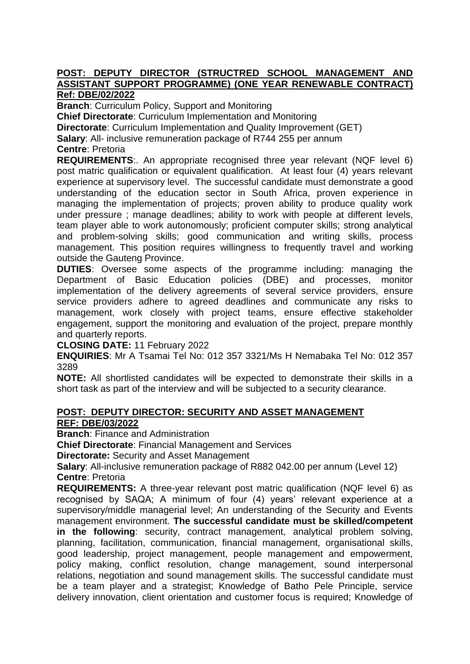#### **POST: DEPUTY DIRECTOR (STRUCTRED SCHOOL MANAGEMENT AND ASSISTANT SUPPORT PROGRAMME) (ONE YEAR RENEWABLE CONTRACT) Ref: DBE/02/2022**

**Branch**: Curriculum Policy, Support and Monitoring

**Chief Directorate**: Curriculum Implementation and Monitoring

**Directorate**: Curriculum Implementation and Quality Improvement (GET)

**Salary**: All- inclusive remuneration package of R744 255 per annum

**Centre**: Pretoria

**REQUIREMENTS**:. An appropriate recognised three year relevant (NQF level 6) post matric qualification or equivalent qualification. At least four (4) years relevant experience at supervisory level. The successful candidate must demonstrate a good understanding of the education sector in South Africa, proven experience in managing the implementation of projects; proven ability to produce quality work under pressure ; manage deadlines; ability to work with people at different levels, team player able to work autonomously; proficient computer skills; strong analytical and problem-solving skills; good communication and writing skills, process management. This position requires willingness to frequently travel and working outside the Gauteng Province.

**DUTIES**: Oversee some aspects of the programme including: managing the Department of Basic Education policies (DBE) and processes, monitor implementation of the delivery agreements of several service providers, ensure service providers adhere to agreed deadlines and communicate any risks to management, work closely with project teams, ensure effective stakeholder engagement, support the monitoring and evaluation of the project, prepare monthly and quarterly reports.

**CLOSING DATE:** 11 February 2022

**ENQUIRIES**: Mr A Tsamai Tel No: 012 357 3321/Ms H Nemabaka Tel No: 012 357 3289

**NOTE:** All shortlisted candidates will be expected to demonstrate their skills in a short task as part of the interview and will be subjected to a security clearance.

# **POST: DEPUTY DIRECTOR: SECURITY AND ASSET MANAGEMENT REF: DBE/03/2022**

**Branch**: Finance and Administration

**Chief Directorate**: Financial Management and Services

**Directorate:** Security and Asset Management

**Salary**: All-inclusive remuneration package of R882 042.00 per annum (Level 12) **Centre**: Pretoria

**REQUIREMENTS:** A three-year relevant post matric qualification (NQF level 6) as recognised by SAQA; A minimum of four (4) years' relevant experience at a supervisory/middle managerial level; An understanding of the Security and Events management environment. **The successful candidate must be skilled/competent in the following**: security, contract management, analytical problem solving, planning, facilitation, communication, financial management, organisational skills, good leadership, project management, people management and empowerment, policy making, conflict resolution, change management, sound interpersonal relations, negotiation and sound management skills. The successful candidate must be a team player and a strategist; Knowledge of Batho Pele Principle, service delivery innovation, client orientation and customer focus is required; Knowledge of